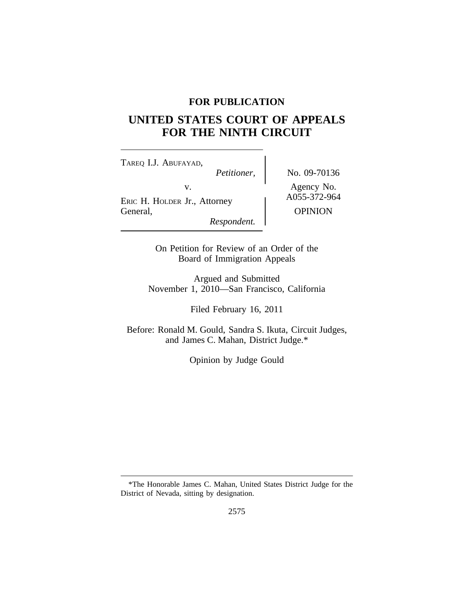# **FOR PUBLICATION**

# **UNITED STATES COURT OF APPEALS FOR THE NINTH CIRCUIT**

<sup>T</sup>AREQ I.J. ABUFAYAD, *Petitioner,* No. 09-70136 v.<br>
ERIC H. HOLDER Jr., Attorney A055-372-964 General, OPINION *Respondent.*

On Petition for Review of an Order of the Board of Immigration Appeals

Argued and Submitted November 1, 2010—San Francisco, California

Filed February 16, 2011

Before: Ronald M. Gould, Sandra S. Ikuta, Circuit Judges, and James C. Mahan, District Judge.\*

Opinion by Judge Gould

<sup>\*</sup>The Honorable James C. Mahan, United States District Judge for the District of Nevada, sitting by designation.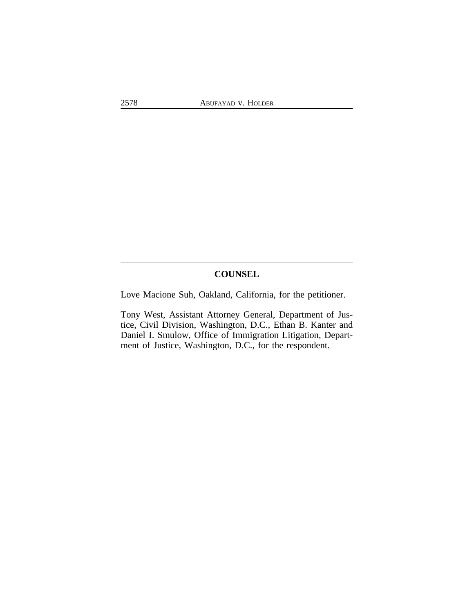# **COUNSEL**

Love Macione Suh, Oakland, California, for the petitioner.

Tony West, Assistant Attorney General, Department of Justice, Civil Division, Washington, D.C., Ethan B. Kanter and Daniel I. Smulow, Office of Immigration Litigation, Department of Justice, Washington, D.C., for the respondent.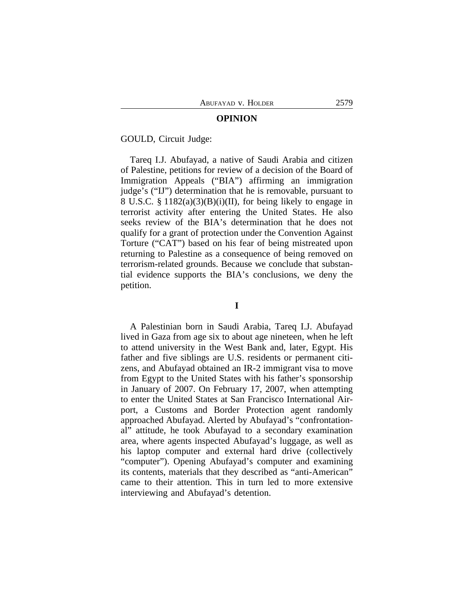#### **OPINION**

GOULD, Circuit Judge:

Tareq I.J. Abufayad, a native of Saudi Arabia and citizen of Palestine, petitions for review of a decision of the Board of Immigration Appeals ("BIA") affirming an immigration judge's ("IJ") determination that he is removable, pursuant to 8 U.S.C. § 1182(a)(3)(B)(i)(II), for being likely to engage in terrorist activity after entering the United States. He also seeks review of the BIA's determination that he does not qualify for a grant of protection under the Convention Against Torture ("CAT") based on his fear of being mistreated upon returning to Palestine as a consequence of being removed on terrorism-related grounds. Because we conclude that substantial evidence supports the BIA's conclusions, we deny the petition.

**I**

A Palestinian born in Saudi Arabia, Tareq I.J. Abufayad lived in Gaza from age six to about age nineteen, when he left to attend university in the West Bank and, later, Egypt. His father and five siblings are U.S. residents or permanent citizens, and Abufayad obtained an IR-2 immigrant visa to move from Egypt to the United States with his father's sponsorship in January of 2007. On February 17, 2007, when attempting to enter the United States at San Francisco International Airport, a Customs and Border Protection agent randomly approached Abufayad. Alerted by Abufayad's "confrontational" attitude, he took Abufayad to a secondary examination area, where agents inspected Abufayad's luggage, as well as his laptop computer and external hard drive (collectively "computer"). Opening Abufayad's computer and examining its contents, materials that they described as "anti-American" came to their attention. This in turn led to more extensive interviewing and Abufayad's detention.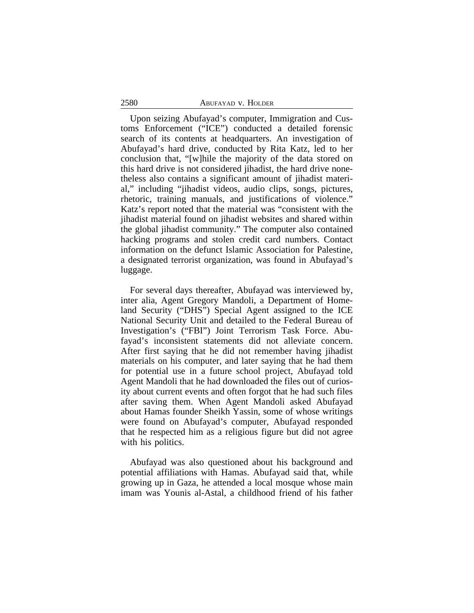### 2580 ABUFAYAD v. HOLDER

Upon seizing Abufayad's computer, Immigration and Customs Enforcement ("ICE") conducted a detailed forensic search of its contents at headquarters. An investigation of Abufayad's hard drive, conducted by Rita Katz, led to her conclusion that, "[w]hile the majority of the data stored on this hard drive is not considered jihadist, the hard drive nonetheless also contains a significant amount of jihadist material," including "jihadist videos, audio clips, songs, pictures, rhetoric, training manuals, and justifications of violence." Katz's report noted that the material was "consistent with the jihadist material found on jihadist websites and shared within the global jihadist community." The computer also contained hacking programs and stolen credit card numbers. Contact information on the defunct Islamic Association for Palestine, a designated terrorist organization, was found in Abufayad's luggage.

For several days thereafter, Abufayad was interviewed by, inter alia, Agent Gregory Mandoli, a Department of Homeland Security ("DHS") Special Agent assigned to the ICE National Security Unit and detailed to the Federal Bureau of Investigation's ("FBI") Joint Terrorism Task Force. Abufayad's inconsistent statements did not alleviate concern. After first saying that he did not remember having jihadist materials on his computer, and later saying that he had them for potential use in a future school project, Abufayad told Agent Mandoli that he had downloaded the files out of curiosity about current events and often forgot that he had such files after saving them. When Agent Mandoli asked Abufayad about Hamas founder Sheikh Yassin, some of whose writings were found on Abufayad's computer, Abufayad responded that he respected him as a religious figure but did not agree with his politics.

Abufayad was also questioned about his background and potential affiliations with Hamas. Abufayad said that, while growing up in Gaza, he attended a local mosque whose main imam was Younis al-Astal, a childhood friend of his father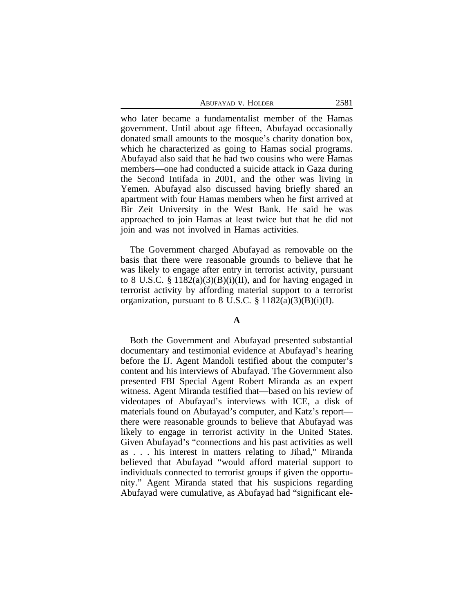who later became a fundamentalist member of the Hamas government. Until about age fifteen, Abufayad occasionally donated small amounts to the mosque's charity donation box, which he characterized as going to Hamas social programs. Abufayad also said that he had two cousins who were Hamas members—one had conducted a suicide attack in Gaza during the Second Intifada in 2001, and the other was living in Yemen. Abufayad also discussed having briefly shared an apartment with four Hamas members when he first arrived at Bir Zeit University in the West Bank. He said he was approached to join Hamas at least twice but that he did not join and was not involved in Hamas activities.

The Government charged Abufayad as removable on the basis that there were reasonable grounds to believe that he was likely to engage after entry in terrorist activity, pursuant to 8 U.S.C. §  $1182(a)(3)(B)(i)(II)$ , and for having engaged in terrorist activity by affording material support to a terrorist organization, pursuant to 8 U.S.C.  $\S 1182(a)(3)(B)(i)(I)$ .

#### **A**

Both the Government and Abufayad presented substantial documentary and testimonial evidence at Abufayad's hearing before the IJ. Agent Mandoli testified about the computer's content and his interviews of Abufayad. The Government also presented FBI Special Agent Robert Miranda as an expert witness. Agent Miranda testified that—based on his review of videotapes of Abufayad's interviews with ICE, a disk of materials found on Abufayad's computer, and Katz's report there were reasonable grounds to believe that Abufayad was likely to engage in terrorist activity in the United States. Given Abufayad's "connections and his past activities as well as . . . his interest in matters relating to Jihad," Miranda believed that Abufayad "would afford material support to individuals connected to terrorist groups if given the opportunity." Agent Miranda stated that his suspicions regarding Abufayad were cumulative, as Abufayad had "significant ele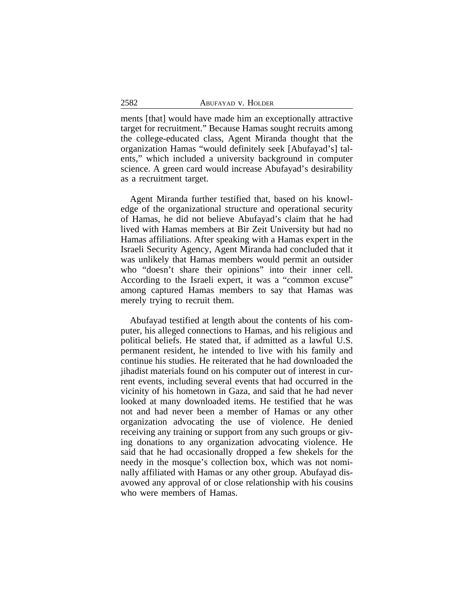ments [that] would have made him an exceptionally attractive target for recruitment." Because Hamas sought recruits among the college-educated class, Agent Miranda thought that the organization Hamas "would definitely seek [Abufayad's] talents," which included a university background in computer science. A green card would increase Abufayad's desirability as a recruitment target.

Agent Miranda further testified that, based on his knowledge of the organizational structure and operational security of Hamas, he did not believe Abufayad's claim that he had lived with Hamas members at Bir Zeit University but had no Hamas affiliations. After speaking with a Hamas expert in the Israeli Security Agency, Agent Miranda had concluded that it was unlikely that Hamas members would permit an outsider who "doesn't share their opinions" into their inner cell. According to the Israeli expert, it was a "common excuse" among captured Hamas members to say that Hamas was merely trying to recruit them.

Abufayad testified at length about the contents of his computer, his alleged connections to Hamas, and his religious and political beliefs. He stated that, if admitted as a lawful U.S. permanent resident, he intended to live with his family and continue his studies. He reiterated that he had downloaded the jihadist materials found on his computer out of interest in current events, including several events that had occurred in the vicinity of his hometown in Gaza, and said that he had never looked at many downloaded items. He testified that he was not and had never been a member of Hamas or any other organization advocating the use of violence. He denied receiving any training or support from any such groups or giving donations to any organization advocating violence. He said that he had occasionally dropped a few shekels for the needy in the mosque's collection box, which was not nominally affiliated with Hamas or any other group. Abufayad disavowed any approval of or close relationship with his cousins who were members of Hamas.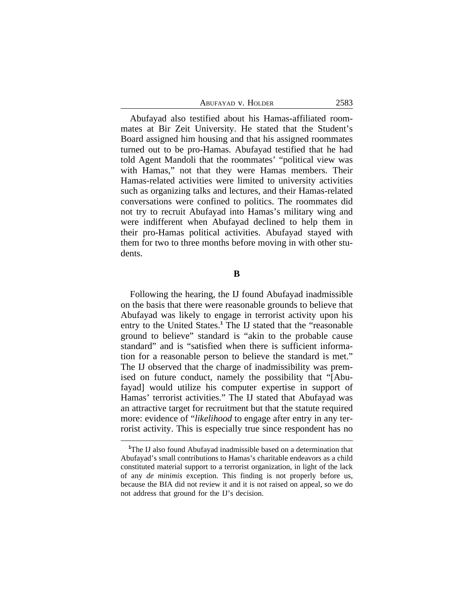| Abufayad v. Holder | 2583 |
|--------------------|------|
|--------------------|------|

Abufayad also testified about his Hamas-affiliated roommates at Bir Zeit University. He stated that the Student's Board assigned him housing and that his assigned roommates turned out to be pro-Hamas. Abufayad testified that he had told Agent Mandoli that the roommates' "political view was with Hamas," not that they were Hamas members. Their Hamas-related activities were limited to university activities such as organizing talks and lectures, and their Hamas-related conversations were confined to politics. The roommates did not try to recruit Abufayad into Hamas's military wing and were indifferent when Abufayad declined to help them in their pro-Hamas political activities. Abufayad stayed with them for two to three months before moving in with other students.

### **B**

Following the hearing, the IJ found Abufayad inadmissible on the basis that there were reasonable grounds to believe that Abufayad was likely to engage in terrorist activity upon his entry to the United States.**<sup>1</sup>** The IJ stated that the "reasonable ground to believe" standard is "akin to the probable cause standard" and is "satisfied when there is sufficient information for a reasonable person to believe the standard is met." The IJ observed that the charge of inadmissibility was premised on future conduct, namely the possibility that "[Abufayad] would utilize his computer expertise in support of Hamas' terrorist activities." The IJ stated that Abufayad was an attractive target for recruitment but that the statute required more: evidence of "*likelihood* to engage after entry in any terrorist activity. This is especially true since respondent has no

**<sup>1</sup>**The IJ also found Abufayad inadmissible based on a determination that Abufayad's small contributions to Hamas's charitable endeavors as a child constituted material support to a terrorist organization, in light of the lack of any *de minimis* exception. This finding is not properly before us, because the BIA did not review it and it is not raised on appeal, so we do not address that ground for the IJ's decision.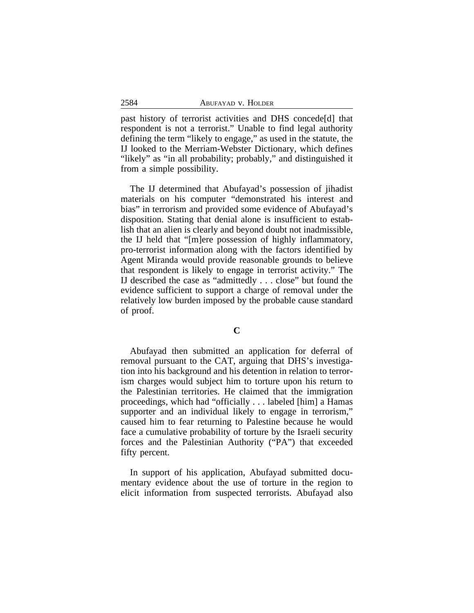past history of terrorist activities and DHS concede[d] that respondent is not a terrorist." Unable to find legal authority defining the term "likely to engage," as used in the statute, the IJ looked to the Merriam-Webster Dictionary, which defines "likely" as "in all probability; probably," and distinguished it from a simple possibility.

The IJ determined that Abufayad's possession of jihadist materials on his computer "demonstrated his interest and bias" in terrorism and provided some evidence of Abufayad's disposition. Stating that denial alone is insufficient to establish that an alien is clearly and beyond doubt not inadmissible, the IJ held that "[m]ere possession of highly inflammatory, pro-terrorist information along with the factors identified by Agent Miranda would provide reasonable grounds to believe that respondent is likely to engage in terrorist activity." The IJ described the case as "admittedly . . . close" but found the evidence sufficient to support a charge of removal under the relatively low burden imposed by the probable cause standard of proof.

## **C**

Abufayad then submitted an application for deferral of removal pursuant to the CAT, arguing that DHS's investigation into his background and his detention in relation to terrorism charges would subject him to torture upon his return to the Palestinian territories. He claimed that the immigration proceedings, which had "officially . . . labeled [him] a Hamas supporter and an individual likely to engage in terrorism," caused him to fear returning to Palestine because he would face a cumulative probability of torture by the Israeli security forces and the Palestinian Authority ("PA") that exceeded fifty percent.

In support of his application, Abufayad submitted documentary evidence about the use of torture in the region to elicit information from suspected terrorists. Abufayad also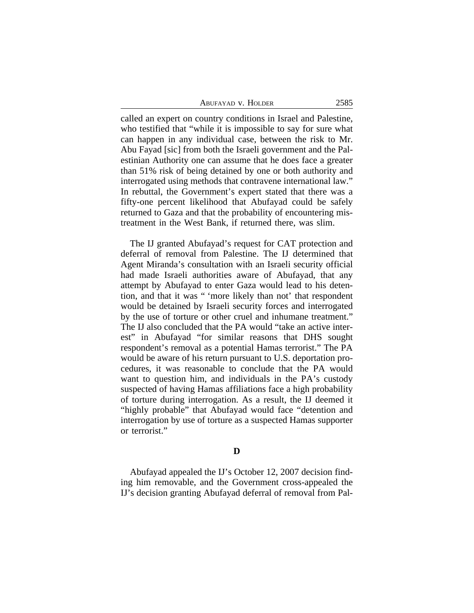| Abufayad v. Holder | 2585 |
|--------------------|------|
|                    |      |

called an expert on country conditions in Israel and Palestine, who testified that "while it is impossible to say for sure what can happen in any individual case, between the risk to Mr. Abu Fayad [sic] from both the Israeli government and the Palestinian Authority one can assume that he does face a greater than 51% risk of being detained by one or both authority and interrogated using methods that contravene international law." In rebuttal, the Government's expert stated that there was a fifty-one percent likelihood that Abufayad could be safely returned to Gaza and that the probability of encountering mistreatment in the West Bank, if returned there, was slim.

The IJ granted Abufayad's request for CAT protection and deferral of removal from Palestine. The IJ determined that Agent Miranda's consultation with an Israeli security official had made Israeli authorities aware of Abufayad, that any attempt by Abufayad to enter Gaza would lead to his detention, and that it was " 'more likely than not' that respondent would be detained by Israeli security forces and interrogated by the use of torture or other cruel and inhumane treatment." The IJ also concluded that the PA would "take an active interest" in Abufayad "for similar reasons that DHS sought respondent's removal as a potential Hamas terrorist." The PA would be aware of his return pursuant to U.S. deportation procedures, it was reasonable to conclude that the PA would want to question him, and individuals in the PA's custody suspected of having Hamas affiliations face a high probability of torture during interrogation. As a result, the IJ deemed it "highly probable" that Abufayad would face "detention and interrogation by use of torture as a suspected Hamas supporter or terrorist."

## **D**

Abufayad appealed the IJ's October 12, 2007 decision finding him removable, and the Government cross-appealed the IJ's decision granting Abufayad deferral of removal from Pal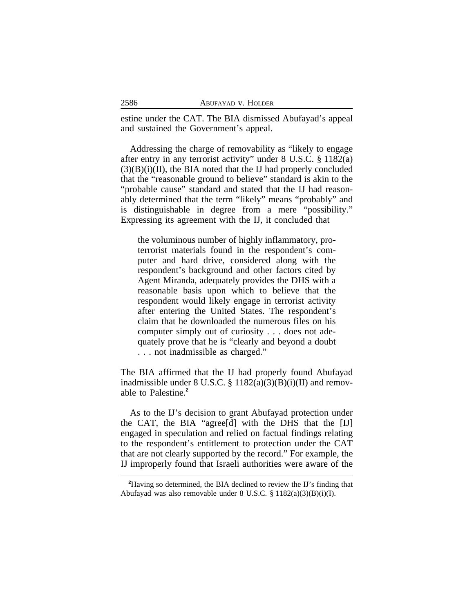estine under the CAT. The BIA dismissed Abufayad's appeal and sustained the Government's appeal.

Addressing the charge of removability as "likely to engage after entry in any terrorist activity" under 8 U.S.C. § 1182(a)  $(3)(B)(i)(II)$ , the BIA noted that the IJ had properly concluded that the "reasonable ground to believe" standard is akin to the "probable cause" standard and stated that the IJ had reasonably determined that the term "likely" means "probably" and is distinguishable in degree from a mere "possibility." Expressing its agreement with the IJ, it concluded that

the voluminous number of highly inflammatory, proterrorist materials found in the respondent's computer and hard drive, considered along with the respondent's background and other factors cited by Agent Miranda, adequately provides the DHS with a reasonable basis upon which to believe that the respondent would likely engage in terrorist activity after entering the United States. The respondent's claim that he downloaded the numerous files on his computer simply out of curiosity . . . does not adequately prove that he is "clearly and beyond a doubt . . . not inadmissible as charged."

The BIA affirmed that the IJ had properly found Abufayad inadmissible under  $8$  U.S.C.  $\frac{8}{9}$  1182(a)(3)(B)(i)(II) and removable to Palestine.**<sup>2</sup>**

As to the IJ's decision to grant Abufayad protection under the CAT, the BIA "agree[d] with the DHS that the [IJ] engaged in speculation and relied on factual findings relating to the respondent's entitlement to protection under the CAT that are not clearly supported by the record." For example, the IJ improperly found that Israeli authorities were aware of the

**<sup>2</sup>**Having so determined, the BIA declined to review the IJ's finding that Abufayad was also removable under 8 U.S.C. § 1182(a)(3)(B)(i)(I).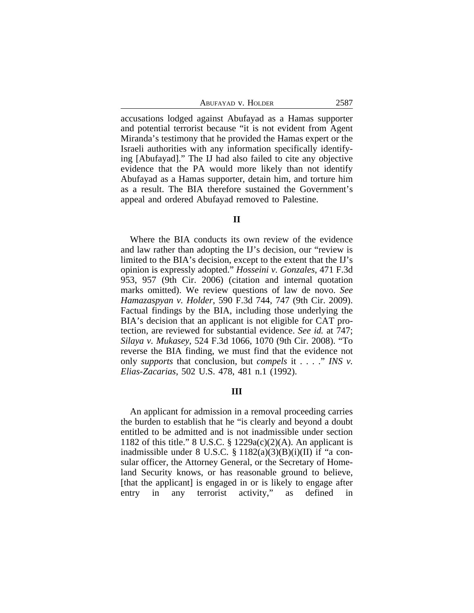ABUFAYAD V. HOLDER 2587

accusations lodged against Abufayad as a Hamas supporter and potential terrorist because "it is not evident from Agent Miranda's testimony that he provided the Hamas expert or the Israeli authorities with any information specifically identifying [Abufayad]." The IJ had also failed to cite any objective evidence that the PA would more likely than not identify Abufayad as a Hamas supporter, detain him, and torture him as a result. The BIA therefore sustained the Government's appeal and ordered Abufayad removed to Palestine.

#### **II**

Where the BIA conducts its own review of the evidence and law rather than adopting the IJ's decision, our "review is limited to the BIA's decision, except to the extent that the IJ's opinion is expressly adopted." *Hosseini v. Gonzales*, 471 F.3d 953, 957 (9th Cir. 2006) (citation and internal quotation marks omitted). We review questions of law de novo. *See Hamazaspyan v. Holder*, 590 F.3d 744, 747 (9th Cir. 2009). Factual findings by the BIA, including those underlying the BIA's decision that an applicant is not eligible for CAT protection, are reviewed for substantial evidence. *See id.* at 747; *Silaya v. Mukasey*, 524 F.3d 1066, 1070 (9th Cir. 2008). "To reverse the BIA finding, we must find that the evidence not only *supports* that conclusion, but *compels* it . . . ." *INS v. Elias-Zacarias*, 502 U.S. 478, 481 n.1 (1992).

# **III**

An applicant for admission in a removal proceeding carries the burden to establish that he "is clearly and beyond a doubt entitled to be admitted and is not inadmissible under section 1182 of this title." 8 U.S.C.  $\S 1229a(c)(2)(A)$ . An applicant is inadmissible under 8 U.S.C.  $\S$  1182(a)(3)(B)(i)(II) if "a consular officer, the Attorney General, or the Secretary of Homeland Security knows, or has reasonable ground to believe, [that the applicant] is engaged in or is likely to engage after entry in any terrorist activity," as defined in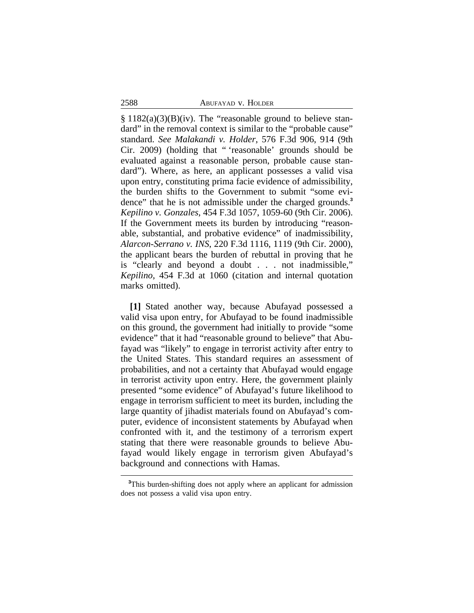#### 2588 ABUFAYAD v. HOLDER

 $\S 1182(a)(3)(B)(iv)$ . The "reasonable ground to believe standard" in the removal context is similar to the "probable cause" standard. *See Malakandi v. Holder*, 576 F.3d 906, 914 (9th Cir. 2009) (holding that " 'reasonable' grounds should be evaluated against a reasonable person, probable cause standard"). Where, as here, an applicant possesses a valid visa upon entry, constituting prima facie evidence of admissibility, the burden shifts to the Government to submit "some evidence" that he is not admissible under the charged grounds.**<sup>3</sup>** *Kepilino v. Gonzales*, 454 F.3d 1057, 1059-60 (9th Cir. 2006). If the Government meets its burden by introducing "reasonable, substantial, and probative evidence" of inadmissibility, *Alarcon-Serrano v. INS*, 220 F.3d 1116, 1119 (9th Cir. 2000), the applicant bears the burden of rebuttal in proving that he is "clearly and beyond a doubt . . . not inadmissible," *Kepilino*, 454 F.3d at 1060 (citation and internal quotation marks omitted).

**[1]** Stated another way, because Abufayad possessed a valid visa upon entry, for Abufayad to be found inadmissible on this ground, the government had initially to provide "some evidence" that it had "reasonable ground to believe" that Abufayad was "likely" to engage in terrorist activity after entry to the United States. This standard requires an assessment of probabilities, and not a certainty that Abufayad would engage in terrorist activity upon entry. Here, the government plainly presented "some evidence" of Abufayad's future likelihood to engage in terrorism sufficient to meet its burden, including the large quantity of jihadist materials found on Abufayad's computer, evidence of inconsistent statements by Abufayad when confronted with it, and the testimony of a terrorism expert stating that there were reasonable grounds to believe Abufayad would likely engage in terrorism given Abufayad's background and connections with Hamas.

**<sup>3</sup>**This burden-shifting does not apply where an applicant for admission does not possess a valid visa upon entry.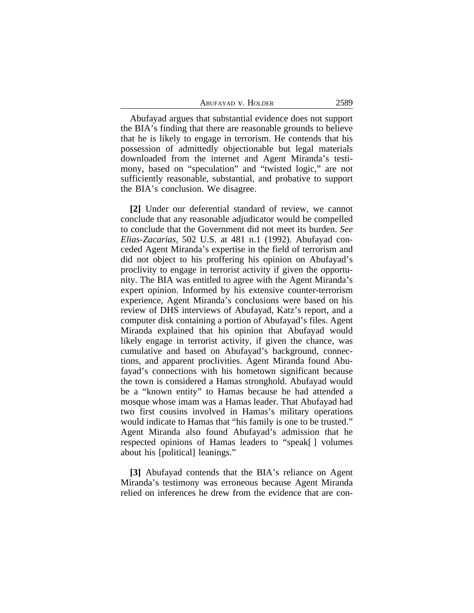Abufayad argues that substantial evidence does not support the BIA's finding that there are reasonable grounds to believe that he is likely to engage in terrorism. He contends that his possession of admittedly objectionable but legal materials downloaded from the internet and Agent Miranda's testimony, based on "speculation" and "twisted logic," are not sufficiently reasonable, substantial, and probative to support the BIA's conclusion. We disagree.

**[2]** Under our deferential standard of review, we cannot conclude that any reasonable adjudicator would be compelled to conclude that the Government did not meet its burden. *See Elias-Zacarias*, 502 U.S. at 481 n.1 (1992). Abufayad conceded Agent Miranda's expertise in the field of terrorism and did not object to his proffering his opinion on Abufayad's proclivity to engage in terrorist activity if given the opportunity. The BIA was entitled to agree with the Agent Miranda's expert opinion. Informed by his extensive counter-terrorism experience, Agent Miranda's conclusions were based on his review of DHS interviews of Abufayad, Katz's report, and a computer disk containing a portion of Abufayad's files. Agent Miranda explained that his opinion that Abufayad would likely engage in terrorist activity, if given the chance, was cumulative and based on Abufayad's background, connections, and apparent proclivities. Agent Miranda found Abufayad's connections with his hometown significant because the town is considered a Hamas stronghold. Abufayad would be a "known entity" to Hamas because he had attended a mosque whose imam was a Hamas leader. That Abufayad had two first cousins involved in Hamas's military operations would indicate to Hamas that "his family is one to be trusted." Agent Miranda also found Abufayad's admission that he respected opinions of Hamas leaders to "speak[ ] volumes about his [political] leanings."

**[3]** Abufayad contends that the BIA's reliance on Agent Miranda's testimony was erroneous because Agent Miranda relied on inferences he drew from the evidence that are con-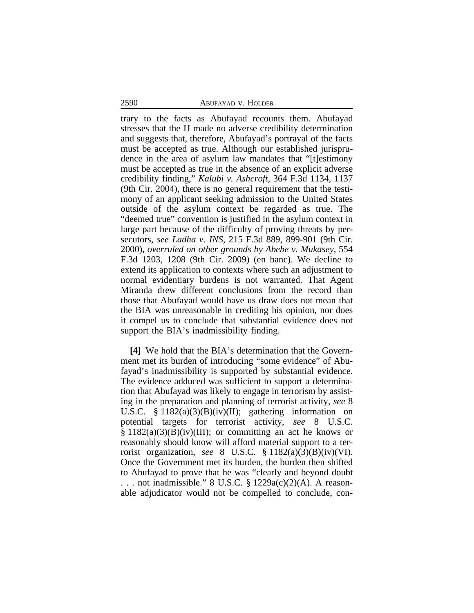## 2590 ABUFAYAD v. HOLDER

trary to the facts as Abufayad recounts them. Abufayad stresses that the IJ made no adverse credibility determination and suggests that, therefore, Abufayad's portrayal of the facts must be accepted as true. Although our established jurisprudence in the area of asylum law mandates that "[t]estimony must be accepted as true in the absence of an explicit adverse credibility finding," *Kalubi v. Ashcroft*, 364 F.3d 1134, 1137 (9th Cir. 2004), there is no general requirement that the testimony of an applicant seeking admission to the United States outside of the asylum context be regarded as true. The "deemed true" convention is justified in the asylum context in large part because of the difficulty of proving threats by persecutors, *see Ladha v. INS*, 215 F.3d 889, 899-901 (9th Cir. 2000), *overruled on other grounds by Abebe v. Mukasey*, 554 F.3d 1203, 1208 (9th Cir. 2009) (en banc). We decline to extend its application to contexts where such an adjustment to normal evidentiary burdens is not warranted. That Agent Miranda drew different conclusions from the record than those that Abufayad would have us draw does not mean that the BIA was unreasonable in crediting his opinion, nor does it compel us to conclude that substantial evidence does not support the BIA's inadmissibility finding.

**[4]** We hold that the BIA's determination that the Government met its burden of introducing "some evidence" of Abufayad's inadmissibility is supported by substantial evidence. The evidence adduced was sufficient to support a determination that Abufayad was likely to engage in terrorism by assisting in the preparation and planning of terrorist activity, *see* 8 U.S.C. § 1182(a)(3)(B)(iv)(II); gathering information on potential targets for terrorist activity, *see* 8 U.S.C.  $\S 1182(a)(3)(B)(iv)(III);$  or committing an act he knows or reasonably should know will afford material support to a terrorist organization, *see* 8 U.S.C. § 1182(a)(3)(B)(iv)(VI). Once the Government met its burden, the burden then shifted to Abufayad to prove that he was "clearly and beyond doubt . . . not inadmissible." 8 U.S.C. § 1229a(c)(2)(A). A reasonable adjudicator would not be compelled to conclude, con-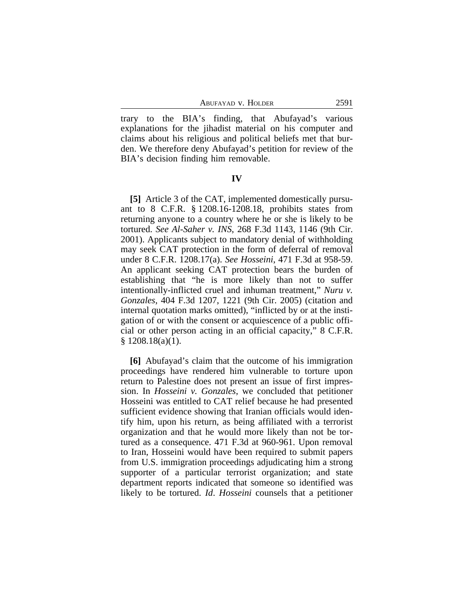ABUFAYAD V. HOLDER 2591

trary to the BIA's finding, that Abufayad's various explanations for the jihadist material on his computer and claims about his religious and political beliefs met that burden. We therefore deny Abufayad's petition for review of the BIA's decision finding him removable.

### **IV**

**[5]** Article 3 of the CAT, implemented domestically pursuant to 8 C.F.R. § 1208.16-1208.18, prohibits states from returning anyone to a country where he or she is likely to be tortured. *See Al-Saher v. INS*, 268 F.3d 1143, 1146 (9th Cir. 2001). Applicants subject to mandatory denial of withholding may seek CAT protection in the form of deferral of removal under 8 C.F.R. 1208.17(a). *See Hosseini*, 471 F.3d at 958-59. An applicant seeking CAT protection bears the burden of establishing that "he is more likely than not to suffer intentionally-inflicted cruel and inhuman treatment," *Nuru v. Gonzales*, 404 F.3d 1207, 1221 (9th Cir. 2005) (citation and internal quotation marks omitted), "inflicted by or at the instigation of or with the consent or acquiescence of a public official or other person acting in an official capacity," 8 C.F.R.  $$1208.18(a)(1).$ 

**[6]** Abufayad's claim that the outcome of his immigration proceedings have rendered him vulnerable to torture upon return to Palestine does not present an issue of first impression. In *Hosseini v. Gonzales*, we concluded that petitioner Hosseini was entitled to CAT relief because he had presented sufficient evidence showing that Iranian officials would identify him, upon his return, as being affiliated with a terrorist organization and that he would more likely than not be tortured as a consequence. 471 F.3d at 960-961. Upon removal to Iran, Hosseini would have been required to submit papers from U.S. immigration proceedings adjudicating him a strong supporter of a particular terrorist organization; and state department reports indicated that someone so identified was likely to be tortured. *Id*. *Hosseini* counsels that a petitioner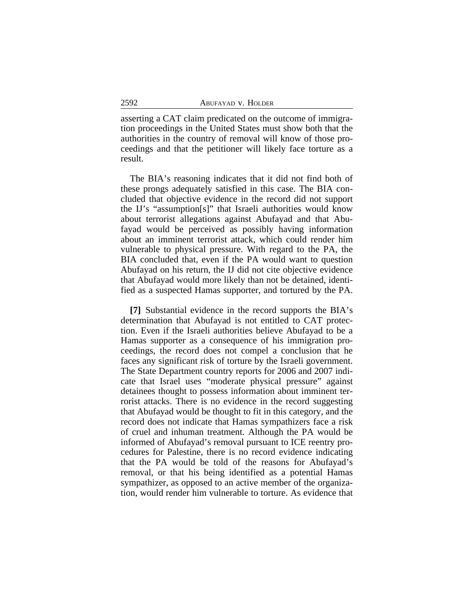asserting a CAT claim predicated on the outcome of immigration proceedings in the United States must show both that the authorities in the country of removal will know of those proceedings and that the petitioner will likely face torture as a result.

The BIA's reasoning indicates that it did not find both of these prongs adequately satisfied in this case. The BIA concluded that objective evidence in the record did not support the IJ's "assumption[s]" that Israeli authorities would know about terrorist allegations against Abufayad and that Abufayad would be perceived as possibly having information about an imminent terrorist attack, which could render him vulnerable to physical pressure. With regard to the PA, the BIA concluded that, even if the PA would want to question Abufayad on his return, the IJ did not cite objective evidence that Abufayad would more likely than not be detained, identified as a suspected Hamas supporter, and tortured by the PA.

**[7]** Substantial evidence in the record supports the BIA's determination that Abufayad is not entitled to CAT protection. Even if the Israeli authorities believe Abufayad to be a Hamas supporter as a consequence of his immigration proceedings, the record does not compel a conclusion that he faces any significant risk of torture by the Israeli government. The State Department country reports for 2006 and 2007 indicate that Israel uses "moderate physical pressure" against detainees thought to possess information about imminent terrorist attacks. There is no evidence in the record suggesting that Abufayad would be thought to fit in this category, and the record does not indicate that Hamas sympathizers face a risk of cruel and inhuman treatment. Although the PA would be informed of Abufayad's removal pursuant to ICE reentry procedures for Palestine, there is no record evidence indicating that the PA would be told of the reasons for Abufayad's removal, or that his being identified as a potential Hamas sympathizer, as opposed to an active member of the organization, would render him vulnerable to torture. As evidence that